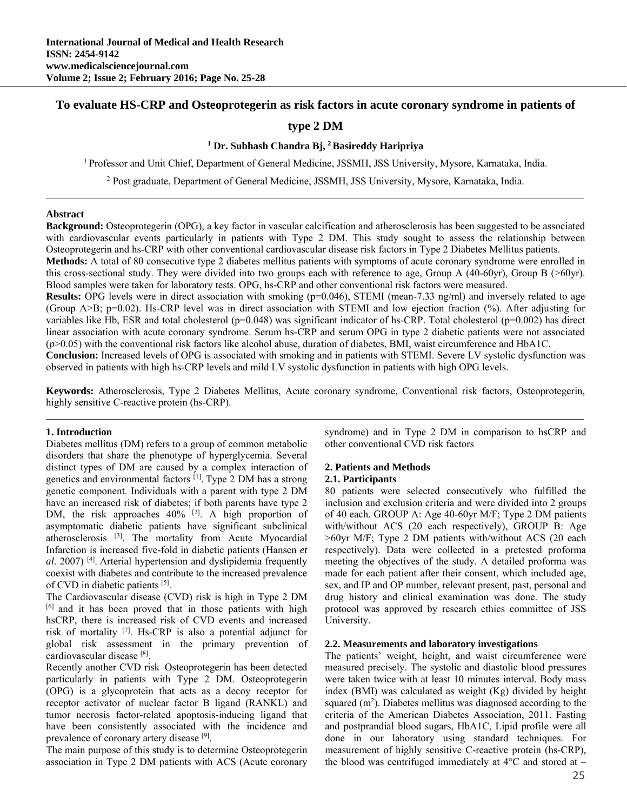# **To evaluate HS-CRP and Osteoprotegerin as risk factors in acute coronary syndrome in patients of**

# **type 2 DM**

## **1 Dr. Subhash Chandra Bj, 2 Basireddy Haripriya**

1 Professor and Unit Chief, Department of General Medicine, JSSMH, JSS University, Mysore, Karnataka, India.

<sup>2</sup> Post graduate, Department of General Medicine, JSSMH, JSS University, Mysore, Karnataka, India.

#### **Abstract**

**Background:** Osteoprotegerin (OPG), a key factor in vascular calcification and atherosclerosis has been suggested to be associated with cardiovascular events particularly in patients with Type 2 DM. This study sought to assess the relationship between Osteoprotegerin and hs-CRP with other conventional cardiovascular disease risk factors in Type 2 Diabetes Mellitus patients.

**Methods:** A total of 80 consecutive type 2 diabetes mellitus patients with symptoms of acute coronary syndrome were enrolled in this cross-sectional study. They were divided into two groups each with reference to age, Group A (40-60yr), Group B (>60yr). Blood samples were taken for laboratory tests. OPG, hs-CRP and other conventional risk factors were measured.

**Results:** OPG levels were in direct association with smoking (p=0.046), STEMI (mean-7.33 ng/ml) and inversely related to age (Group A>B; p=0.02). Hs-CRP level was in direct association with STEMI and low ejection fraction (%). After adjusting for variables like Hb, ESR and total cholesterol ( $p=0.048$ ) was significant indicator of hs-CRP. Total cholesterol ( $p=0.002$ ) has direct linear association with acute coronary syndrome. Serum hs-CRP and serum OPG in type 2 diabetic patients were not associated  $(p>0.05)$  with the conventional risk factors like alcohol abuse, duration of diabetes, BMI, waist circumference and HbA1C.

**Conclusion:** Increased levels of OPG is associated with smoking and in patients with STEMI. Severe LV systolic dysfunction was observed in patients with high hs-CRP levels and mild LV systolic dysfunction in patients with high OPG levels.

**Keywords:** Atherosclerosis, Type 2 Diabetes Mellitus, Acute coronary syndrome, Conventional risk factors, Osteoprotegerin, highly sensitive C-reactive protein (hs-CRP).

#### **1. Introduction**

Diabetes mellitus (DM) refers to a group of common metabolic disorders that share the phenotype of hyperglycemia. Several distinct types of DM are caused by a complex interaction of genetics and environmental factors [1]. Type 2 DM has a strong genetic component. Individuals with a parent with type 2 DM have an increased risk of diabetes; if both parents have type 2 DM, the risk approaches  $40\%$  <sup>[2]</sup>. A high proportion of asymptomatic diabetic patients have significant subclinical atherosclerosis [3]. The mortality from Acute Myocardial Infarction is increased five-fold in diabetic patients (Hansen *et al*. 2007) [4]. Arterial hypertension and dyslipidemia frequently coexist with diabetes and contribute to the increased prevalence of CVD in diabetic patients [5].

The Cardiovascular disease (CVD) risk is high in Type 2 DM [6] and it has been proved that in those patients with high hsCRP, there is increased risk of CVD events and increased risk of mortality  $[7]$ . Hs-CRP is also a potential adjunct for global risk assessment in the primary prevention of cardiovascular disease [8].

Recently another CVD risk–Osteoprotegerin has been detected particularly in patients with Type 2 DM. Osteoprotegerin (OPG) is a glycoprotein that acts as a decoy receptor for receptor activator of nuclear factor B ligand (RANKL) and tumor necrosis factor-related apoptosis-inducing ligand that have been consistently associated with the incidence and prevalence of coronary artery disease [9].

The main purpose of this study is to determine Osteoprotegerin association in Type 2 DM patients with ACS (Acute coronary syndrome) and in Type 2 DM in comparison to hsCRP and other conventional CVD risk factors

## **2. Patients and Methods**

# **2.1. Participants**

80 patients were selected consecutively who fulfilled the inclusion and exclusion criteria and were divided into 2 groups of 40 each. GROUP A: Age 40-60yr M/F; Type 2 DM patients with/without ACS (20 each respectively), GROUP B: Age >60yr M/F; Type 2 DM patients with/without ACS (20 each respectively). Data were collected in a pretested proforma meeting the objectives of the study. A detailed proforma was made for each patient after their consent, which included age, sex, and IP and OP number, relevant present, past, personal and drug history and clinical examination was done. The study protocol was approved by research ethics committee of JSS University.

#### **2.2. Measurements and laboratory investigations**

The patients' weight, height, and waist circumference were measured precisely. The systolic and diastolic blood pressures were taken twice with at least 10 minutes interval. Body mass index (BMI) was calculated as weight (Kg) divided by height squared  $(m<sup>2</sup>)$ . Diabetes mellitus was diagnosed according to the criteria of the American Diabetes Association, 2011. Fasting and postprandial blood sugars, HbA1C, Lipid profile were all done in our laboratory using standard techniques. For measurement of highly sensitive C-reactive protein (hs-CRP), the blood was centrifuged immediately at  $4^{\circ}$ C and stored at –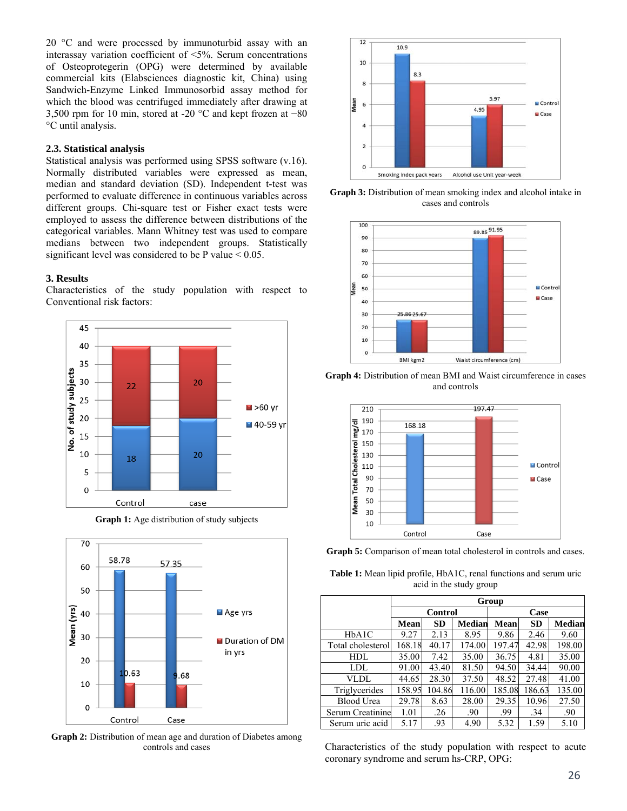20 °C and were processed by immunoturbid assay with an interassay variation coefficient of <5%. Serum concentrations of Osteoprotegerin (OPG) were determined by available commercial kits (Elabsciences diagnostic kit, China) using Sandwich-Enzyme Linked Immunosorbid assay method for which the blood was centrifuged immediately after drawing at 3,500 rpm for 10 min, stored at -20 °C and kept frozen at −80 °C until analysis.

## **2.3. Statistical analysis**

Statistical analysis was performed using SPSS software (v.16). Normally distributed variables were expressed as mean, median and standard deviation (SD). Independent t-test was performed to evaluate difference in continuous variables across different groups. Chi-square test or Fisher exact tests were employed to assess the difference between distributions of the categorical variables. Mann Whitney test was used to compare medians between two independent groups. Statistically significant level was considered to be P value  $< 0.05$ .

### **3. Results**

Characteristics of the study population with respect to Conventional risk factors:



**Graph 1:** Age distribution of study subjects



**Graph 2:** Distribution of mean age and duration of Diabetes among controls and cases



**Graph 3:** Distribution of mean smoking index and alcohol intake in cases and controls



**Graph 4:** Distribution of mean BMI and Waist circumference in cases and controls



Graph 5: Comparison of mean total cholesterol in controls and cases.

**Table 1:** Mean lipid profile, HbA1C, renal functions and serum uric acid in the study group

|                   | Group  |                |               |             |           |               |  |  |  |
|-------------------|--------|----------------|---------------|-------------|-----------|---------------|--|--|--|
|                   |        | <b>Control</b> |               | Case        |           |               |  |  |  |
|                   | Mean   | <b>SD</b>      | <b>Median</b> | <b>Mean</b> | <b>SD</b> | <b>Median</b> |  |  |  |
| HbA1C             | 9.27   | 2.13           | 8.95          | 9.86        | 2.46      | 9.60          |  |  |  |
| Total cholesterol | 168.18 | 40.17          | 174.00        | 197.47      | 42.98     | 198.00        |  |  |  |
| HDL               | 35.00  | 7.42           | 35.00         | 36.75       | 4.81      | 35.00         |  |  |  |
| LDL.              | 91.00  | 43.40          | 81.50         | 94.50       | 34.44     | 90.00         |  |  |  |
| VLDL              | 44.65  | 28.30          | 37.50         | 48.52       | 27.48     | 41.00         |  |  |  |
| Triglycerides     | 158.95 | 104.86         | 116.00        | 185.08      | 186.63    | 135.00        |  |  |  |
| <b>Blood Urea</b> | 29.78  | 8.63           | 28.00         | 29.35       | 10.96     | 27.50         |  |  |  |
| Serum Creatinine  | 1.01   | .26            | .90           | .99         | .34       | .90           |  |  |  |
| Serum uric acid   | 5.17   | .93            | 4.90          | 5.32        | 1.59      | 5.10          |  |  |  |

Characteristics of the study population with respect to acute coronary syndrome and serum hs-CRP, OPG: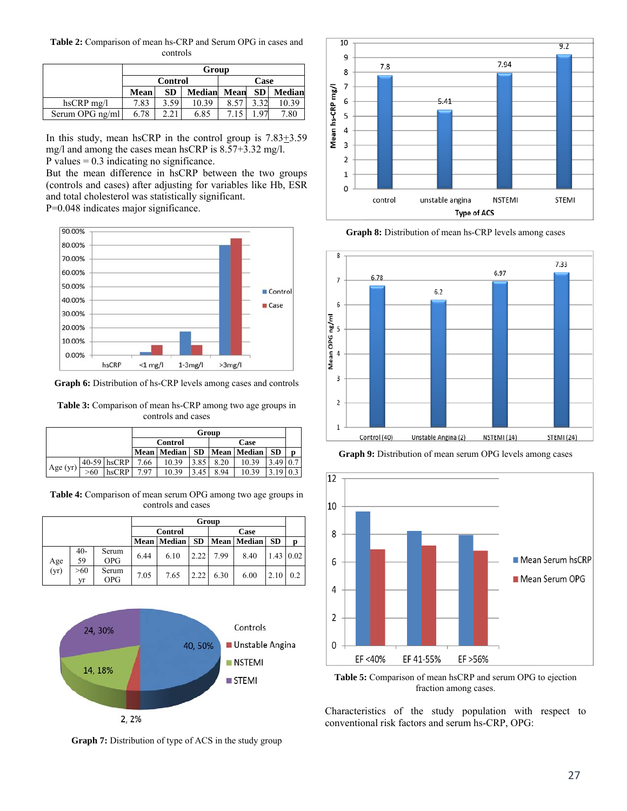**Table 2:** Comparison of mean hs-CRP and Serum OPG in cases and controls

|                  | Group                  |           |               |      |           |        |  |  |
|------------------|------------------------|-----------|---------------|------|-----------|--------|--|--|
|                  | Case<br><b>Control</b> |           |               |      |           |        |  |  |
|                  | Mean                   | <b>SD</b> | <b>Median</b> | Mean | <b>SD</b> | Median |  |  |
| $h$ s $CRP$ mg/l | 7.83                   | 3.59      | 10.39         | 8.57 |           |        |  |  |
| Serum OPG ng/ml  | 6.78                   | <u>າາ</u> | 6.85          |      | O7        | 7.80   |  |  |

In this study, mean hsCRP in the control group is  $7.83 \pm 3.59$ mg/l and among the cases mean hsCRP is 8.57+3.32 mg/l.

P values  $= 0.3$  indicating no significance.

But the mean difference in hsCRP between the two groups (controls and cases) after adjusting for variables like Hb, ESR and total cholesterol was statistically significant.

P=0.048 indicates major significance.



**Graph 6:** Distribution of hs-CRP levels among cases and controls

**Table 3:** Comparison of mean hs-CRP among two age groups in controls and cases

| Group      |     |             |     |                        |           |      |               |           |   |
|------------|-----|-------------|-----|------------------------|-----------|------|---------------|-----------|---|
|            |     |             |     | Case<br><b>Control</b> |           |      |               |           |   |
|            |     |             |     | Mean Median            | <b>SD</b> |      | Mean   Median | <b>SD</b> | D |
|            |     | 40-59 hsCRP | .66 | 10.39                  | 3.85      | 8.20 | 10.39         | 3.49      |   |
| Age $(yr)$ | >60 | hsCRP       | 797 | 10.39                  | .45       | 8.94 | 10.39         |           |   |

**Table 4:** Comparison of mean serum OPG among two age groups in controls and cases

|      |             |                     | Group           |             |           |      |                    |           |                  |
|------|-------------|---------------------|-----------------|-------------|-----------|------|--------------------|-----------|------------------|
|      |             |                     | Control<br>Case |             |           |      |                    |           |                  |
|      |             |                     |                 | Mean Median | <b>SD</b> |      | <b>Mean</b> Median | <b>SD</b> | p                |
| Age  | $40-$<br>59 | Serum<br><b>OPG</b> | 6.44            | 6.10        | 2.22      | 7.99 | 8.40               |           | $1.43 \mid 0.02$ |
| (yr) | >60<br>vr   | Serum<br><b>OPG</b> | 7.05            | 7.65        | 2.22      | 6.30 | 6.00               | 2.10      | 0.2              |



**Graph 7:** Distribution of type of ACS in the study group



Graph 8: Distribution of mean hs-CRP levels among cases



**Graph 9:** Distribution of mean serum OPG levels among cases



**Table 5:** Comparison of mean hsCRP and serum OPG to ejection fraction among cases.

Characteristics of the study population with respect to conventional risk factors and serum hs-CRP, OPG: